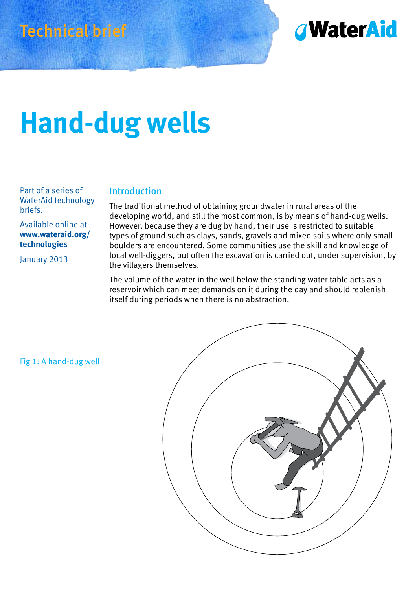



# **Hand-dug wells**

Part of a series of WaterAid technology briefs.

#### Available online at **www.wateraid.org/ technologies**

January 2013

#### Introduction

The traditional method of obtaining groundwater in rural areas of the developing world, and still the most common, is by means of hand-dug wells. However, because they are dug by hand, their use is restricted to suitable types of ground such as clays, sands, gravels and mixed soils where only small boulders are encountered. Some communities use the skill and knowledge of local well-diggers, but often the excavation is carried out, under supervision, by the villagers themselves.

The volume of the water in the well below the standing water table acts as a reservoir which can meet demands on it during the day and should replenish itself during periods when there is no abstraction.

Fig 1: A hand‑dug well

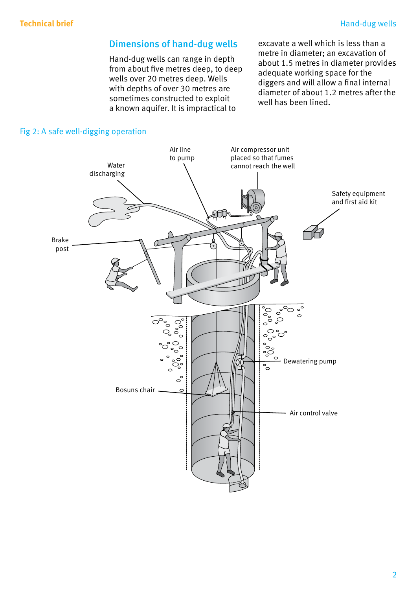### Dimensions of hand-dug wells

Hand‑dug wells can range in depth from about five metres deep, to deep wells over 20 metres deep. Wells with depths of over 30 metres are sometimes constructed to exploit a known aquifer. It is impractical to

excavate a well which is less than a metre in diameter; an excavation of about 1.5 metres in diameter provides adequate working space for the diggers and will allow a final internal diameter of about 1.2 metres after the well has been lined.

#### Fig 2: A safe well-digging operation

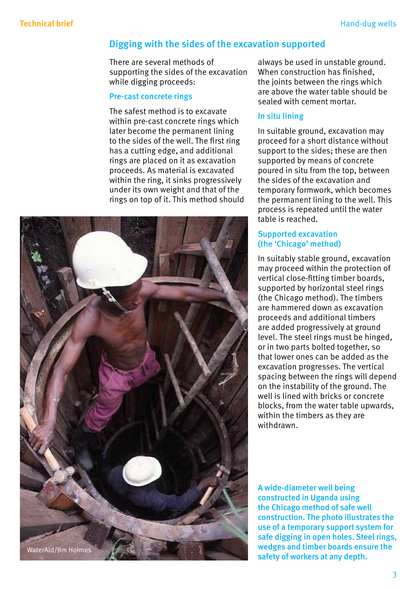#### Digging with the sides of the excavation supported

There are several methods of supporting the sides of the excavation while digging proceeds:

#### Pre-cast concrete rings

The safest method is to excavate within pre-cast concrete rings which later become the permanent lining to the sides of the well. The first ring has a cutting edge, and additional rings are placed on it as excavation proceeds. As material is excavated within the ring, it sinks progressively under its own weight and that of the rings on top of it. This method should



always be used in unstable ground. When construction has finished, the joints between the rings which are above the water table should be sealed with cement mortar.

#### In situ lining

In suitable ground, excavation may proceed for a short distance without support to the sides; these are then supported by means of concrete poured in situ from the top, between the sides of the excavation and temporary formwork, which becomes the permanent lining to the well. This process is repeated until the water table is reached.

#### Supported excavation (the 'Chicago' method)

In suitably stable ground, excavation may proceed within the protection of vertical close-fitting timber boards, supported by horizontal steel rings (the Chicago method). The timbers are hammered down as excavation proceeds and additional timbers are added progressively at ground level. The steel rings must be hinged, or in two parts bolted together, so that lower ones can be added as the excavation progresses. The vertical spacing between the rings will depend on the instability of the ground. The well is lined with bricks or concrete blocks, from the water table upwards, within the timbers as they are withdrawn.

A wide-diameter well being constructed in Uganda using the Chicago method of safe well construction. The photo illustrates the use of a temporary support system for safe digging in open holes. Steel rings, wedges and timber boards ensure the safety of workers at any depth.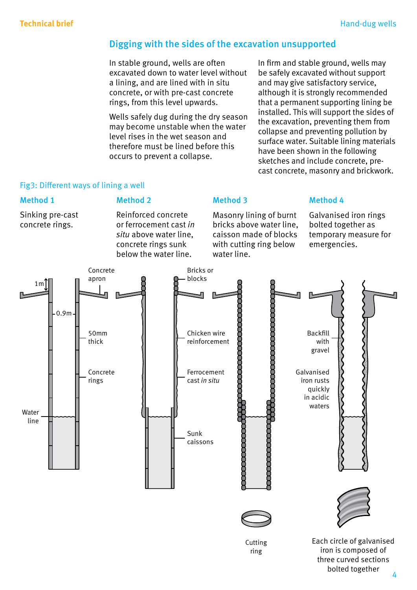### Digging with the sides of the excavation unsupported

In stable ground, wells are often excavated down to water level without a lining, and are lined with in situ concrete, or with pre‑cast concrete rings, from this level upwards.

Wells safely dug during the dry season may become unstable when the water level rises in the wet season and therefore must be lined before this occurs to prevent a collapse.

In firm and stable ground, wells may be safely excavated without support and may give satisfactory service, although it is strongly recommended that a permanent supporting lining be installed. This will support the sides of the excavation, preventing them from collapse and preventing pollution by surface water. Suitable lining materials have been shown in the following sketches and include concrete, precast concrete, masonry and brickwork.

#### Fig3: Different ways of lining a well

#### Method 1

Sinking pre‑cast concrete rings.

below the water line. water line.

#### Method 2 Method 3

Reinforced concrete Masonry lining of burnt Galvanised iron rings or ferrocement cast *in* bricks above water line, bolted together as *situ* above water line, caisson made of blocks temporary measure for concrete rings sunk with cutting ring below emergencies.

#### Method 4



4

bolted together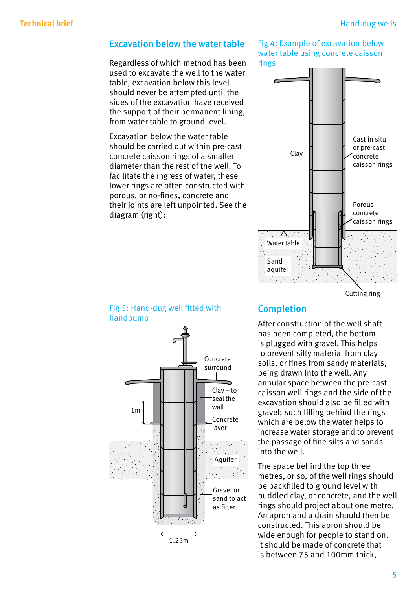#### Excavation below the water table

Regardless of which method has been used to excavate the well to the water table, excavation below this level should never be attempted until the sides of the excavation have received the support of their permanent lining, from water table to ground level.

Excavation below the water table should be carried out within pre-cast concrete caisson rings of a smaller diameter than the rest of the well. To facilitate the ingress of water, these lower rings are often constructed with porous, or no-fines, concrete and their joints are left unpointed. See the diagram (right):

#### Fig 4: Example of excavation below water table using concrete caisson rings



Cutting ring

#### Fig 5: Hand-dug well fitted with handpump



### Completion

After construction of the well shaft has been completed, the bottom is plugged with gravel. This helps to prevent silty material from clay soils, or fines from sandy materials, being drawn into the well. Any annular space between the pre‑cast caisson well rings and the side of the excavation should also be filled with gravel; such filling behind the rings which are below the water helps to increase water storage and to prevent the passage of fine silts and sands into the well.

The space behind the top three metres, or so, of the well rings should be backfilled to ground level with puddled clay, or concrete, and the well rings should project about one metre. An apron and a drain should then be constructed. This apron should be wide enough for people to stand on. It should be made of concrete that is between 75 and 100mm thick,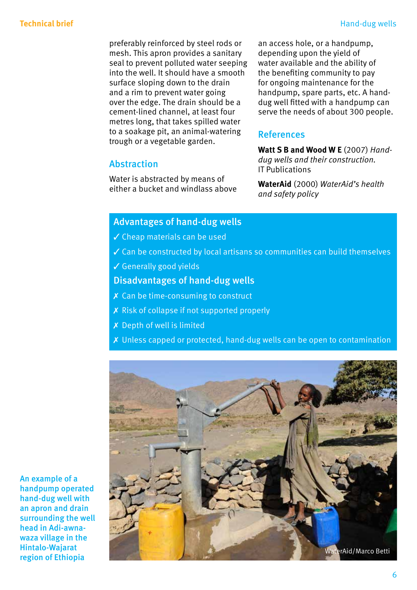preferably reinforced by steel rods or mesh. This apron provides a sanitary seal to prevent polluted water seeping into the well. It should have a smooth surface sloping down to the drain and a rim to prevent water going over the edge. The drain should be a cement‑lined channel, at least four metres long, that takes spilled water to a soakage pit, an animal‑watering trough or a vegetable garden.

an access hole, or a handpump, depending upon the yield of water available and the ability of the benefiting community to pay for ongoing maintenance for the handpump, spare parts, etc. A handdug well fitted with a handpump can serve the needs of about 300 people.

#### References

 **Watt S B and Wood W E** (2007) *Hand- dug wells and their construction.* IT Publications

**WaterAid** (2000) *WaterAid's health and safety policy* 

#### Advantages of hand-dug wells

✓ Cheap materials can be used

Water is abstracted by means of either a bucket and windlass above

- ✓ Can be constructed by local artisans so communities can build themselves
- ✓ Generally good yields

Abstraction

#### Disadvantages of hand-dug wells

- ✗ Can be time‑consuming to construct
- ✗ Risk of collapse if not supported properly
- ✗ Depth of well is limited
- ✗ Unless capped or protected, hand‑dug wells can be open to contamination



An example of a handpump operated hand-dug well with an apron and drain surrounding the well head in Adi-awnawaza village in the Hintalo-Wajarat region of Ethiopia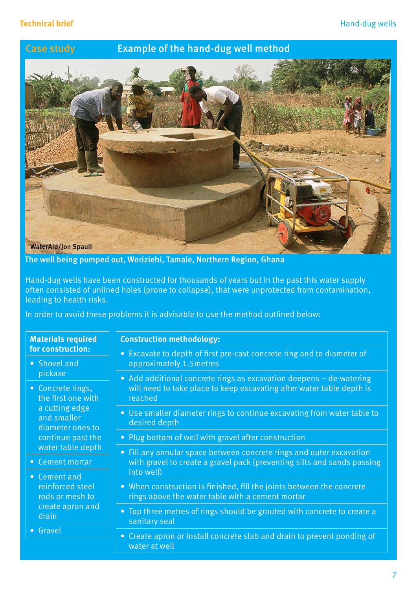#### Case study Example of the hand-dug well method



The well being pumped out, Woriziehi, Tamale, Northern Region, Ghana

Hand‑dug wells have been constructed for thousands of years but in the past this water supply often consisted of unlined holes (prone to collapse), that were unprotected from contamination, leading to health risks.

In order to avoid these problems it is advisable to use the method outlined below:

#### **Materials required for construction:**

• Shovel and pickaxe

• Concrete rings, the first one with a cutting edge and smaller diameter ones to continue past the water table depth

• Cement mortar

• Cement and reinforced steel rods or mesh to create apron and drain

• Gravel

#### **Construction methodology:**

- Excavate to depth of first pre-cast concrete ring and to diameter of approximately 1.5metres
- Add additional concrete rings as excavation deepens de-watering will need to take place to keep excavating after water table depth is reached
- Use smaller diameter rings to continue excavating from water table to desired depth
- Plug bottom of well with gravel after construction
- Fill any annular space between concrete rings and outer excavation with gravel to create a gravel pack (preventing silts and sands passing into well)
- When construction is finished, fill the joints between the concrete rings above the water table with a cement mortar
- Top three metres of rings should be grouted with concrete to create a sanitary seal
- Create apron or install concrete slab and drain to prevent ponding of water at well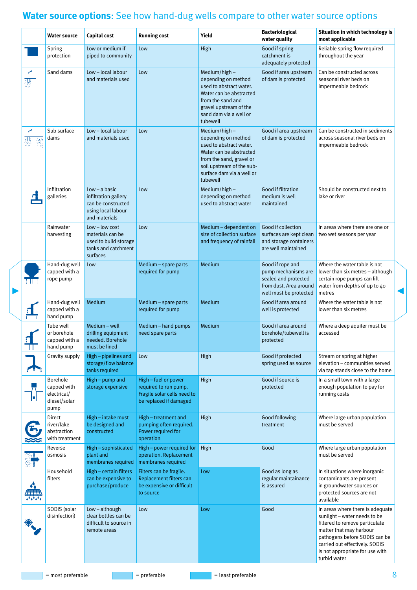## **Technical Britannical Britannical Britannical brief Hand-dug wells compare to other water source options<br>
<b>Technical Britannical Britannical Britannical Britannical Britannical Britannical Britannical Britannical Britanni**

|        | <b>Water source</b>                                            | Capital cost                                                                                         | <b>Running cost</b>                                                                                    | Yield                                                                                                                                                                                         | <b>Bacteriological</b><br>water quality                                                                             | Situation in which technology is<br>most applicable                                                                                                                                                                                                 |
|--------|----------------------------------------------------------------|------------------------------------------------------------------------------------------------------|--------------------------------------------------------------------------------------------------------|-----------------------------------------------------------------------------------------------------------------------------------------------------------------------------------------------|---------------------------------------------------------------------------------------------------------------------|-----------------------------------------------------------------------------------------------------------------------------------------------------------------------------------------------------------------------------------------------------|
|        | Spring<br>protection                                           | Low or medium if<br>piped to community                                                               | Low                                                                                                    | High                                                                                                                                                                                          | Good if spring<br>catchment is<br>adequately protected                                                              | Reliable spring flow required<br>throughout the year                                                                                                                                                                                                |
| 瀴      | Sand dams                                                      | Low - local labour<br>and materials used                                                             | Low                                                                                                    | $Median/high-$<br>depending on method<br>used to abstract water.<br>Water can be abstracted<br>from the sand and<br>gravel upstream of the<br>sand dam via a well or<br>tubewell              | Good if area upstream<br>of dam is protected                                                                        | Can be constructed across<br>seasonal river beds on<br>impermeable bedrock                                                                                                                                                                          |
|        | Sub surface<br>dams                                            | Low - local labour<br>and materials used                                                             | Low                                                                                                    | $Median/high-$<br>depending on method<br>used to abstract water.<br>Water can be abstracted<br>from the sand, gravel or<br>soil upstream of the sub-<br>surface dam via a well or<br>tubewell | Good if area upstream<br>of dam is protected                                                                        | Can be constructed in sediments<br>across seasonal river beds on<br>impermeable bedrock                                                                                                                                                             |
|        | Infiltration<br>galleries                                      | $Low - a basic$<br>infiltration gallery<br>can be constructed<br>using local labour<br>and materials | Low                                                                                                    | $Median/high -$<br>depending on method<br>used to abstract water                                                                                                                              | Good if filtration<br>medium is well<br>maintained                                                                  | Should be constructed next to<br>lake or river                                                                                                                                                                                                      |
|        | Rainwater<br>harvesting                                        | $Low - low cost$<br>materials can be<br>used to build storage<br>tanks and catchment<br>surfaces     | Low                                                                                                    | Medium - dependent on<br>size of collection surface<br>and frequency of rainfall                                                                                                              | Good if collection<br>surfaces are kept clean<br>and storage containers<br>are well maintained                      | In areas where there are one or<br>two wet seasons per year                                                                                                                                                                                         |
| ПF     | Hand-dug well<br>capped with a<br>rope pump                    | Low                                                                                                  | Medium - spare parts<br>required for pump                                                              | Medium                                                                                                                                                                                        | Good if rope and<br>pump mechanisms are<br>sealed and protected<br>from dust. Area around<br>well must be protected | Where the water table is not<br>lower than six metres – although<br>certain rope pumps can lift<br>water from depths of up to 40<br>metres                                                                                                          |
|        | Hand-dug well<br>capped with a<br>hand pump                    | Medium                                                                                               | Medium - spare parts<br>required for pump                                                              | Medium                                                                                                                                                                                        | Good if area around<br>well is protected                                                                            | Where the water table is not<br>lower than six metres                                                                                                                                                                                               |
| 4<br>П | Tube well<br>or borehole<br>capped with a<br>hand pump         | Medium - well<br>drilling equipment<br>needed. Borehole<br>must be lined                             | Medium - hand pumps<br>need spare parts                                                                | Medium                                                                                                                                                                                        | Good if area around<br>borehole/tubewell is<br>protected                                                            | Where a deep aquifer must be<br>accessed                                                                                                                                                                                                            |
|        | Gravity supply                                                 | High - pipelines and<br>storage/flow balance<br>tanks required                                       | Low                                                                                                    | High                                                                                                                                                                                          | Good if protected<br>spring used as source                                                                          | Stream or spring at higher<br>elevation - communities served<br>via tap stands close to the home                                                                                                                                                    |
|        | Borehole<br>capped with<br>electrical/<br>diesel/solar<br>pump | $High-pump$ and<br>storage expensive                                                                 | High - fuel or power<br>required to run pump.<br>Fragile solar cells need to<br>be replaced if damaged | High                                                                                                                                                                                          | Good if source is<br>protected                                                                                      | In a small town with a large<br>enough population to pay for<br>running costs                                                                                                                                                                       |
|        | Direct<br>river/lake<br>abstraction<br>with treatment          | High - intake must<br>be designed and<br>constructed                                                 | High - treatment and<br>pumping often required.<br>Power required for<br>operation                     | High                                                                                                                                                                                          | Good following<br>treatment                                                                                         | Where large urban population<br>must be served                                                                                                                                                                                                      |
| XV.    | Reverse<br>osmosis                                             | High - sophisticated<br>plant and<br>membranes required                                              | High - power required for<br>operation. Replacement<br>membranes required                              | High                                                                                                                                                                                          | Good                                                                                                                | Where large urban population<br>must be served                                                                                                                                                                                                      |
|        | Household<br>filters                                           | High - certain filters<br>can be expensive to<br>purchase/produce                                    | Filters can be fragile.<br>Replacement filters can<br>be expensive or difficult<br>to source           | Low                                                                                                                                                                                           | Good as long as<br>regular maintainance<br>is assured                                                               | In situations where inorganic<br>contaminants are present<br>in groundwater sources or<br>protected sources are not<br>available                                                                                                                    |
|        | SODIS (solar<br>disinfection)                                  | Low-although<br>clear bottles can be<br>difficult to source in<br>remote areas                       | Low                                                                                                    | Low                                                                                                                                                                                           | Good                                                                                                                | In areas where there is adequate<br>sunlight - water needs to be<br>filtered to remove particulate<br>matter that may harbour<br>pathogens before SODIS can be<br>carried out effectively. SODIS<br>is not appropriate for use with<br>turbid water |